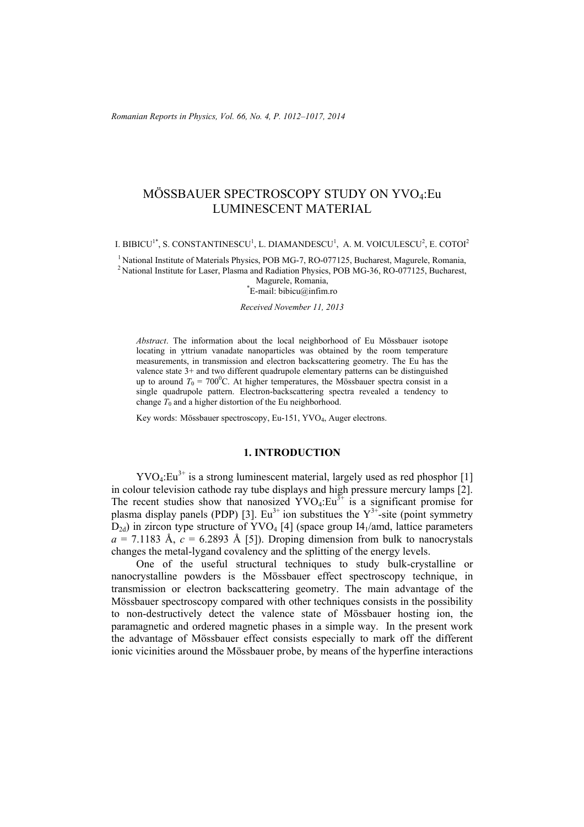# MÖSSBAUER SPECTROSCOPY STUDY ON YVO4:Eu LUMINESCENT MATERIAL

I. BIBICU $^{1*}$ , S. CONSTANTINESCU $^{1}$ , L. DIAMANDESCU $^{1}$ , A. M. VOICULESCU $^{2}$ , E. COTOI $^{2}$ 

<sup>1</sup> National Institute of Materials Physics, POB MG-7, RO-077125, Bucharest, Magurele, Romania, <sup>2</sup> National Institute for Laser, Plasma and Radiation Physics, POB MG-36, RO-077125, Bucharest,

Magurele, Romania, \* E-mail: bibicu@infim.ro

#### *Received November 11, 2013*

*Abstract*. The information about the local neighborhood of Eu Mössbauer isotope locating in yttrium vanadate nanoparticles was obtained by the room temperature measurements, in transmission and electron backscattering geometry. The Eu has the valence state 3+ and two different quadrupole elementary patterns can be distinguished up to around  $T_0 = 700^{\circ}$ C. At higher temperatures, the Mössbauer spectra consist in a single quadrupole pattern. Electron-backscattering spectra revealed a tendency to change  $T_0$  and a higher distortion of the Eu neighborhood.

Key words: Mössbauer spectroscopy, Eu-151, YVO4, Auger electrons.

## **1. INTRODUCTION**

 $\text{YVO}_4: \text{Eu}^{3+}$  is a strong luminescent material, largely used as red phosphor [1] in colour television cathode ray tube displays and high pressure mercury lamps [2]. The recent studies show that nanosized  $\text{YVO}_4:\text{Eu}^{3+}$  is a significant promise for plasma display panels (PDP) [3]. Eu<sup>3+</sup> ion substitues the  $Y^{3+}$ -site (point symmetry  $D_{2d}$ ) in zircon type structure of YVO<sub>4</sub> [4] (space group I4<sub>1</sub>/amd, lattice parameters  $a = 7.1183$  Å,  $c = 6.2893$  Å [5]). Droping dimension from bulk to nanocrystals changes the metal-lygand covalency and the splitting of the energy levels.

One of the useful structural techniques to study bulk-crystalline or nanocrystalline powders is the Mössbauer effect spectroscopy technique, in transmission or electron backscattering geometry. The main advantage of the Mössbauer spectroscopy compared with other techniques consists in the possibility to non-destructively detect the valence state of Mössbauer hosting ion, the paramagnetic and ordered magnetic phases in a simple way. In the present work the advantage of Mössbauer effect consists especially to mark off the different ionic vicinities around the Mössbauer probe, by means of the hyperfine interactions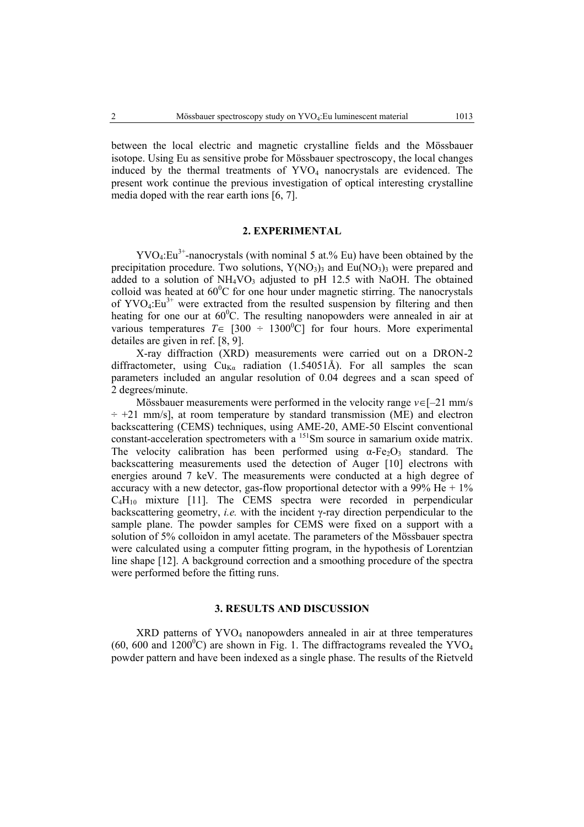between the local electric and magnetic crystalline fields and the Mössbauer isotope. Using Eu as sensitive probe for Mössbauer spectroscopy, the local changes induced by the thermal treatments of YVO<sub>4</sub> nanocrystals are evidenced. The present work continue the previous investigation of optical interesting crystalline media doped with the rear earth ions [6, 7].

### **2. EXPERIMENTAL**

 $\text{YVO}_4: \text{Eu}^{3+}$ -nanocrystals (with nominal 5 at.% Eu) have been obtained by the precipitation procedure. Two solutions,  $Y(NO<sub>3</sub>)$ <sub>3</sub> and Eu(NO<sub>3</sub>)<sub>3</sub> were prepared and added to a solution of  $NH<sub>4</sub>VO<sub>3</sub>$  adjusted to pH 12.5 with NaOH. The obtained colloid was heated at  $60^{\circ}$ C for one hour under magnetic stirring. The nanocrystals of  $\text{YVO}_4:\text{Eu}^{3+}$  were extracted from the resulted suspension by filtering and then heating for one our at  $60^{\circ}$ C. The resulting nanopowders were annealed in air at various temperatures  $T \in [300 \div 1300^{\circ}\text{C}]$  for four hours. More experimental detailes are given in ref. [8, 9].

X-ray diffraction (XRD) measurements were carried out on a DRON-2 diffractometer, using  $Cu_{K\alpha}$  radiation (1.54051Å). For all samples the scan parameters included an angular resolution of 0.04 degrees and a scan speed of 2 degrees/minute.

Mössbauer measurements were performed in the velocity range *v*∈[–21 mm/s  $\div$  +21 mm/s], at room temperature by standard transmission (ME) and electron backscattering (CEMS) techniques, using AME-20, AME-50 Elscint conventional constant-acceleration spectrometers with a <sup>151</sup>Sm source in samarium oxide matrix. The velocity calibration has been performed using  $\alpha$ -Fe<sub>2</sub>O<sub>3</sub> standard. The backscattering measurements used the detection of Auger [10] electrons with energies around 7 keV. The measurements were conducted at a high degree of accuracy with a new detector, gas-flow proportional detector with a 99% He  $+1\%$  $C_4H_{10}$  mixture [11]. The CEMS spectra were recorded in perpendicular backscattering geometry, *i.e.* with the incident γ-ray direction perpendicular to the sample plane. The powder samples for CEMS were fixed on a support with a solution of 5% colloidon in amyl acetate. The parameters of the Mössbauer spectra were calculated using a computer fitting program, in the hypothesis of Lorentzian line shape [12]. A background correction and a smoothing procedure of the spectra were performed before the fitting runs.

## **3. RESULTS AND DISCUSSION**

XRD patterns of YVO<sub>4</sub> nanopowders annealed in air at three temperatures (60, 600 and 1200 $\rm{^0C}$ ) are shown in Fig. 1. The diffractograms revealed the YVO<sub>4</sub> powder pattern and have been indexed as a single phase. The results of the Rietveld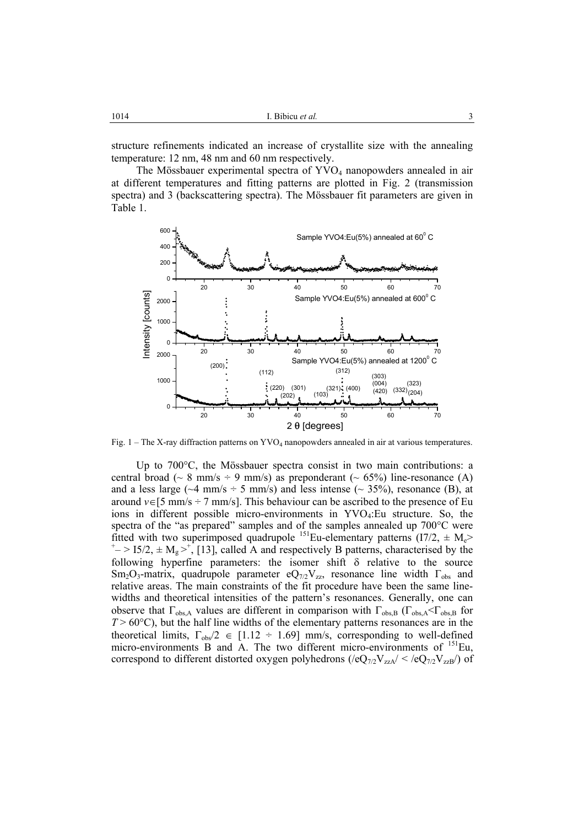structure refinements indicated an increase of crystallite size with the annealing temperature: 12 nm, 48 nm and 60 nm respectively.

The Mössbauer experimental spectra of  $\text{YVO}_4$  nanopowders annealed in air at different temperatures and fitting patterns are plotted in Fig. 2 (transmission spectra) and 3 (backscattering spectra). The Mössbauer fit parameters are given in Table 1.



Fig. 1 – The X-ray diffraction patterns on YVO4 nanopowders annealed in air at various temperatures.

Up to 700°C, the Mössbauer spectra consist in two main contributions: a central broad ( $\sim 8$  mm/s  $\div 9$  mm/s) as preponderant ( $\sim 65\%$ ) line-resonance (A) and a less large ( $\sim$ 4 mm/s ÷ 5 mm/s) and less intense ( $\sim$  35%), resonance (B), at around  $v \in [5 \text{ mm/s} \div 7 \text{ mm/s}]$ . This behaviour can be ascribed to the presence of Eu ions in different possible micro-environments in YVO4:Eu structure. So, the spectra of the "as prepared" samples and of the samples annealed up 700°C were fitted with two superimposed quadrupole <sup>151</sup>Eu-elementary patterns (I7/2,  $\pm$  M<sub>e</sub>>  $-$  > 15/2,  $\pm$  M<sub>g</sub> ><sup>+</sup>, [13], called A and respectively B patterns, characterised by the following hyperfine parameters: the isomer shift  $\delta$  relative to the source Sm<sub>2</sub>O<sub>3</sub>-matrix, quadrupole parameter eQ<sub>7/2</sub>V<sub>zz</sub>, resonance line width  $\Gamma_{obs}$  and relative areas. The main constraints of the fit procedure have been the same linewidths and theoretical intensities of the pattern's resonances. Generally, one can observe that  $\Gamma_{obs,A}$  values are different in comparison with  $\Gamma_{obs,B}$  ( $\Gamma_{obs,A}$   $\subset$   $\Gamma_{obs,B}$  for  $T > 60^{\circ}$ C), but the half line widths of the elementary patterns resonances are in the theoretical limits,  $\Gamma_{\text{obs}}/2 \in [1.12 \div 1.69]$  mm/s, corresponding to well-defined micro-environments B and A. The two different micro-environments of <sup>151</sup>Eu, correspond to different distorted oxygen polyhedrons ( $/eQ_{7/2}V_{zzA}/ < /eQ_{7/2}V_{zzB}/$ ) of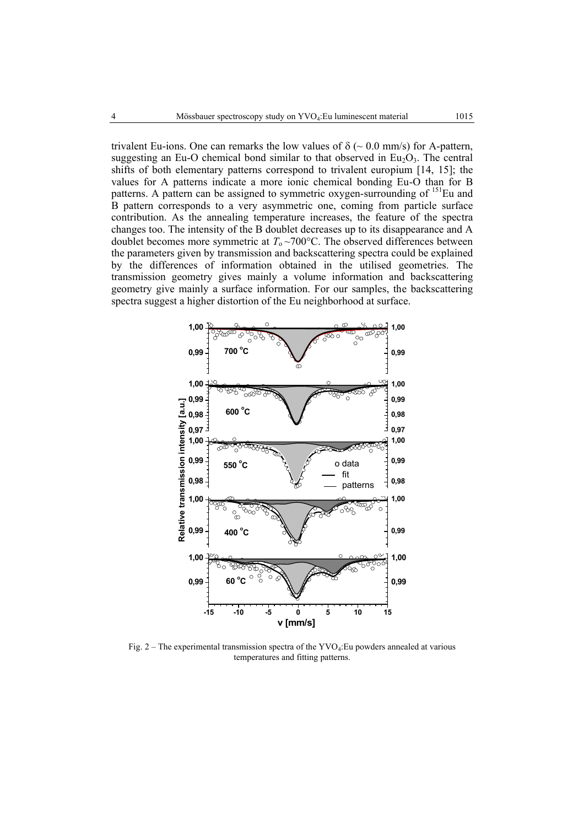trivalent Eu-ions. One can remarks the low values of  $\delta$  ( $\sim$  0.0 mm/s) for A-pattern, suggesting an Eu-O chemical bond similar to that observed in  $Eu<sub>2</sub>O<sub>3</sub>$ . The central shifts of both elementary patterns correspond to trivalent europium [14, 15]; the values for A patterns indicate a more ionic chemical bonding Eu-O than for B patterns. A pattern can be assigned to symmetric oxygen-surrounding of  $151$ Eu and B pattern corresponds to a very asymmetric one, coming from particle surface contribution. As the annealing temperature increases, the feature of the spectra changes too. The intensity of the B doublet decreases up to its disappearance and A doublet becomes more symmetric at  $T_0 \sim 700$ °C. The observed differences between the parameters given by transmission and backscattering spectra could be explained by the differences of information obtained in the utilised geometries. The transmission geometry gives mainly a volume information and backscattering geometry give mainly a surface information. For our samples, the backscattering spectra suggest a higher distortion of the Eu neighborhood at surface.



Fig. 2 – The experimental transmission spectra of the  $\text{YVO}_4$ : Eu powders annealed at various temperatures and fitting patterns.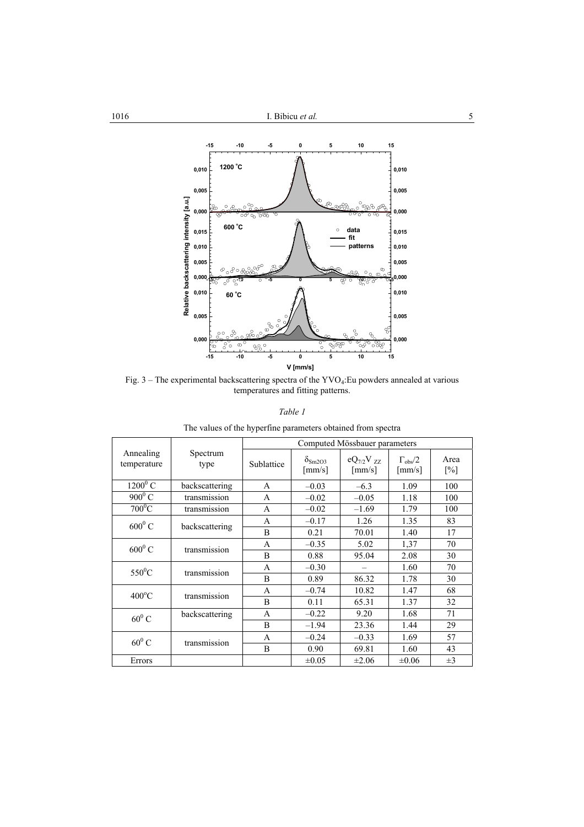

Fig.  $3$  – The experimental backscattering spectra of the YVO<sub>4</sub>: Eu powders annealed at various temperatures and fitting patterns.

*Table 1* 

|  |  | The values of the hyperfine parameters obtained from spectra |
|--|--|--------------------------------------------------------------|
|  |  |                                                              |

|                          |                  | Computed Mössbauer parameters |                                                   |                                            |                                                |                           |  |
|--------------------------|------------------|-------------------------------|---------------------------------------------------|--------------------------------------------|------------------------------------------------|---------------------------|--|
| Annealing<br>temperature | Spectrum<br>type | Sublattice                    | $\delta_{\text{Sm2O3}}$<br>$\lceil$ mm/s $\rceil$ | $eQ_{7/2}V_{7Z}$<br>$\lceil$ mm/s $\rceil$ | $\Gamma_{\rm obs}/2$<br>$\lceil$ mm/s $\rceil$ | Area<br>$\lceil\% \rceil$ |  |
| $1200^0$ C               | backscattering   | A                             | $-0.03$                                           | $-6.3$                                     | 1.09                                           | 100                       |  |
| $900^0$ C                | transmission     | A                             | $-0.02$                                           | $-0.05$                                    | 1.18                                           | 100                       |  |
| $700^0C$                 | transmission     | A                             | $-0.02$                                           | $-1.69$                                    | 1.79                                           | 100                       |  |
| $600^0$ C                | backscattering   | A                             | $-0.17$                                           | 1.26                                       | 1.35                                           | 83                        |  |
|                          |                  | B                             | 0.21                                              | 70.01                                      | 1.40                                           | 17                        |  |
| $600^0$ C                | transmission     | A                             | $-0.35$                                           | 5.02                                       | 1,37                                           | 70                        |  |
|                          |                  | B                             | 0.88                                              | 95.04                                      | 2.08                                           | 30                        |  |
| $550^0$ C                | transmission     | A                             | $-0.30$                                           | $\overline{\phantom{0}}$                   | 1.60                                           | 70                        |  |
|                          |                  | B                             | 0.89                                              | 86.32                                      | 1.78                                           | 30                        |  |
| $400^{\circ}$ C          | transmission     | A                             | $-0.74$                                           | 10.82                                      | 1.47                                           | 68                        |  |
|                          |                  | B                             | 0.11                                              | 65.31                                      | 1.37                                           | 32                        |  |
| $60^0$ C                 | backscattering   | A                             | $-0.22$                                           | 9.20                                       | 1.68                                           | 71                        |  |
|                          |                  | B                             | $-1.94$                                           | 23.36                                      | 1.44                                           | 29                        |  |
| $60^0$ C                 | transmission     | A                             | $-0.24$                                           | $-0.33$                                    | 1.69                                           | 57                        |  |
|                          |                  | B                             | 0.90                                              | 69.81                                      | 1.60                                           | 43                        |  |
| Errors                   |                  |                               | $\pm 0.05$                                        | $\pm 2.06$                                 | $\pm 0.06$                                     | $\pm 3$                   |  |